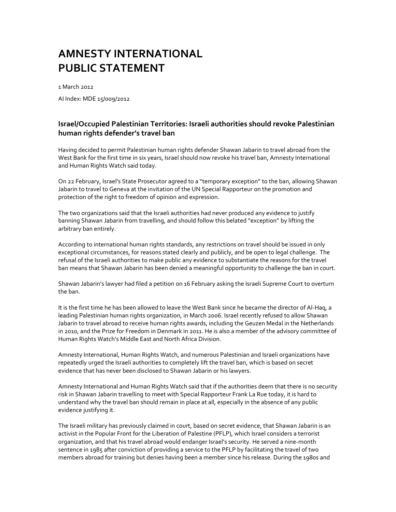1 March 2012 AI Index: MDE 15/009/2012

## **Israel/Occupied Palestinian Territories: Israeli authorities should revoke Palestinian human rights defender's travel ban**

Having decided to permit Palestinian human rights defender Shawan Jabarin to travel abroad from the West Bank for the first time in six years, Israel should now revoke his travel ban, Amnesty International and Human Rights Watch said today.

On 22 February, Israel's State Prosecutor agreed to a "temporary exception" to the ban, allowing Shawan Jabarin to travel to Geneva at the invitation of the UN Special Rapporteur on the promotion and protection of the right to freedom of opinion and expression.

The two organizations said that the Israeli authorities had never produced any evidence to justify banning Shawan Jabarin from travelling, and should follow this belated "exception" by lifting the arbitrary ban entirely.

According to international human rights standards, any restrictions on travel should be issued in only exceptional circumstances, for reasons stated clearly and publicly, and be open to legal challenge. The refusal of the Israeli authorities to make public any evidence to substantiate the reasons for the travel ban means that Shawan Jabarin has been denied a meaningful opportunity to challenge the ban in court.

Shawan Jabarin's lawyer had filed a petition on 16 February asking the Israeli Supreme Court to overturn the ban.

It is the first time he has been allowed to leave the West Bank since he became the director of Al-Haq, a leading Palestinian human rights organization, in March 2006. Israel recently refused to allow Shawan Jabarin to travel abroad to receive human rights awards, including the Geuzen Medal in the Netherlands in 2010, and the Prize for Freedom in Denmark in 2011. He is also a member of the advisory committee of Human Rights Watch's Middle East and North Africa Division.

Amnesty International, Human Rights Watch, and numerous Palestinian and Israeli organizations have repeatedly urged the Israeli authorities to completely lift the travel ban, which is based on secret evidence that has never been disclosed to Shawan Jabarin or his lawyers.

Amnesty International and Human Rights Watch said that if the authorities deem that there is no security risk in Shawan Jabarin travelling to meet with Special Rapporteur Frank La Rue today, it is hard to understand why the travel ban should remain in place at all, especially in the absence of any public evidence justifying it.

The Israeli military has previously claimed in court, based on secret evidence, that Shawan Jabarin is an activist in the Popular Front for the Liberation of Palestine (PFLP), which Israel considers a terrorist organization, and that his travel abroad would endanger Israel's security. He served a nine-month sentence in 1985 after conviction of providing a service to the PFLP by facilitating the travel of two members abroad for training but denies having been a member since his release. During the 1980s and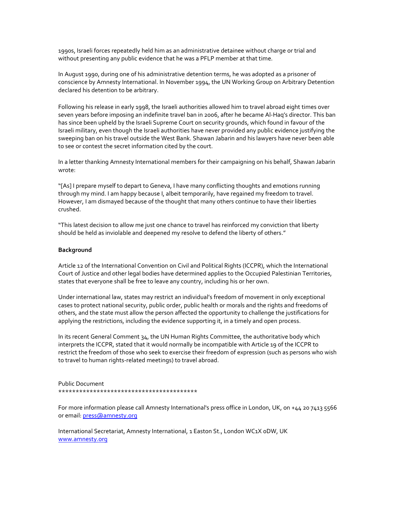1990s, Israeli forces repeatedly held him as an administrative detainee without charge or trial and without presenting any public evidence that he was a PFLP member at that time.

In August 1990, during one of his administrative detention terms, he was adopted as a prisoner of conscience by Amnesty International. In November 1994, the UN Working Group on Arbitrary Detention declared his detention to be arbitrary.

Following his release in early 1998, the Israeli authorities allowed him to travel abroad eight times over seven years before imposing an indefinite travel ban in 2006, after he became Al-Haq's director. This ban has since been upheld by the Israeli Supreme Court on security grounds, which found in favour of the Israeli military, even though the Israeli authorities have never provided any public evidence justifying the sweeping ban on his travel outside the West Bank. Shawan Jabarin and his lawyers have never been able to see or contest the secret information cited by the court.

In a letter thanking Amnesty International members for their campaigning on his behalf, Shawan Jabarin wrote:

"[As] I prepare myself to depart to Geneva, I have many conflicting thoughts and emotions running through my mind. I am happy because I, albeit temporarily, have regained my freedom to travel. However, I am dismayed because of the thought that many others continue to have their liberties crushed.

"This latest decision to allow me just one chance to travel has reinforced my conviction that liberty should be held as inviolable and deepened my resolve to defend the liberty of others."

#### **Background**

Article 12 of the International Convention on Civil and Political Rights (ICCPR), which the International Court of Justice and other legal bodies have determined applies to the Occupied Palestinian Territories, states that everyone shall be free to leave any country, including his or her own.

Under international law, states may restrict an individual's freedom of movement in only exceptional cases to protect national security, public order, public health or morals and the rights and freedoms of others, and the state must allow the person affected the opportunity to challenge the justifications for applying the restrictions, including the evidence supporting it, in a timely and open process.

In its recent General Comment  $34$ , the UN Human Rights Committee, the authoritative body which interprets the ICCPR, stated that it would normally be incompatible with Article 19 of the ICCPR to restrict the freedom of those who seek to exercise their freedom of expression (such as persons who wish to travel to human rights-related meetings) to travel abroad.

Public Document \*\*\*\*\*\*\*\*\*\*\*\*\*\*\*\*\*\*\*\*\*\*\*\*\*\*\*\*\*\*\*\*\*\*\*\*\*\*\*\*

For more information please call Amnesty International's press office in London, UK, on +44 20 7413 5566 or email: press@amnesty.org

International Secretariat, Amnesty International, 1 Easton St., London WC1X 0DW, UK www.amnesty.org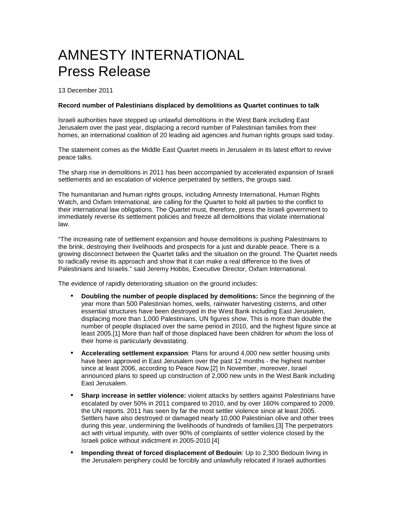# AMNESTY INTERNATIONAL Press Release

13 December 2011

### **Record number of Palestinians displaced by demolitions as Quartet continues to talk**

Israeli authorities have stepped up unlawful demolitions in the West Bank including East Jerusalem over the past year, displacing a record number of Palestinian families from their homes, an international coalition of 20 leading aid agencies and human rights groups said today.

The statement comes as the Middle East Quartet meets in Jerusalem in its latest effort to revive peace talks.

The sharp rise in demolitions in 2011 has been accompanied by accelerated expansion of Israeli settlements and an escalation of violence perpetrated by settlers, the groups said.

The humanitarian and human rights groups, including Amnesty International, Human Rights Watch, and Oxfam International, are calling for the Quartet to hold all parties to the conflict to their international law obligations. The Quartet must, therefore, press the Israeli government to immediately reverse its settlement policies and freeze all demolitions that violate international law.

"The increasing rate of settlement expansion and house demolitions is pushing Palestinians to the brink, destroying their livelihoods and prospects for a just and durable peace. There is a growing disconnect between the Quartet talks and the situation on the ground. The Quartet needs to radically revise its approach and show that it can make a real difference to the lives of Palestinians and Israelis." said Jeremy Hobbs, Executive Director, Oxfam International.

The evidence of rapidly deteriorating situation on the ground includes:

- **Doubling the number of people displaced by demolitions:** Since the beginning of the year more than 500 Palestinian homes, wells, rainwater harvesting cisterns, and other essential structures have been destroyed in the West Bank including East Jerusalem, displacing more than 1,000 Palestinians, UN figures show. This is more than double the number of people displaced over the same period in 2010, and the highest figure since at least 2005.[1] More than half of those displaced have been children for whom the loss of their home is particularly devastating.
- **Accelerating settlement expansion**: Plans for around 4,000 new settler housing units have been approved in East Jerusalem over the past 12 months - the highest number since at least 2006, according to Peace Now.[2] In November, moreover, Israel announced plans to speed up construction of 2,000 new units in the West Bank including East Jerusalem.
- **Sharp increase in settler violence:** violent attacks by settlers against Palestinians have escalated by over 50% in 2011 compared to 2010, and by over 160% compared to 2009, the UN reports. 2011 has seen by far the most settler violence since at least 2005. Settlers have also destroyed or damaged nearly 10,000 Palestinian olive and other trees during this year, undermining the livelihoods of hundreds of families.[3] The perpetrators act with virtual impunity, with over 90% of complaints of settler violence closed by the Israeli police without indictment in 2005-2010.[4]
- **Impending threat of forced displacement of Bedouin**: Up to 2,300 Bedouin living in the Jerusalem periphery could be forcibly and unlawfully relocated if Israeli authorities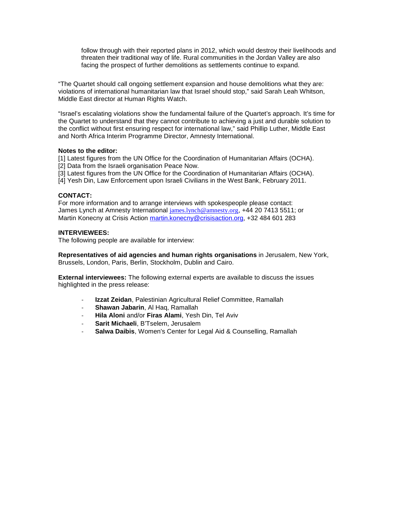follow through with their reported plans in 2012, which would destroy their livelihoods and threaten their traditional way of life. Rural communities in the Jordan Valley are also facing the prospect of further demolitions as settlements continue to expand.

"The Quartet should call ongoing settlement expansion and house demolitions what they are: violations of international humanitarian law that Israel should stop," said Sarah Leah Whitson, Middle East director at Human Rights Watch.

"Israel's escalating violations show the fundamental failure of the Quartet's approach. It's time for the Quartet to understand that they cannot contribute to achieving a just and durable solution to the conflict without first ensuring respect for international law," said Phillip Luther, Middle East and North Africa Interim Programme Director, Amnesty International.

### **Notes to the editor:**

[1] Latest figures from the UN Office for the Coordination of Humanitarian Affairs (OCHA).

[2] Data from the Israeli organisation Peace Now.

[3] Latest figures from the UN Office for the Coordination of Humanitarian Affairs (OCHA).

[4] Yesh Din, Law Enforcement upon Israeli Civilians in the West Bank, February 2011.

## **CONTACT:**

For more information and to arrange interviews with spokespeople please contact: James Lynch at Amnesty International james.lynch@amnesty.org, +44 20 7413 5511; or Martin Konecny at Crisis Action martin.konecny@crisisaction.org, +32 484 601 283

### **INTERVIEWEES:**

The following people are available for interview:

**Representatives of aid agencies and human rights organisations** in Jerusalem, New York, Brussels, London, Paris, Berlin, Stockholm, Dublin and Cairo.

**External interviewees:** The following external experts are available to discuss the issues highlighted in the press release:

- **Izzat Zeidan**, Palestinian Agricultural Relief Committee, Ramallah
- **Shawan Jabarin**, Al Haq, Ramallah
- **Hila Aloni** and/or **Firas Alami**, Yesh Din, Tel Aviv
- **Sarit Michaeli**, B'Tselem, Jerusalem
- **Salwa Daibis**, Women's Center for Legal Aid & Counselling, Ramallah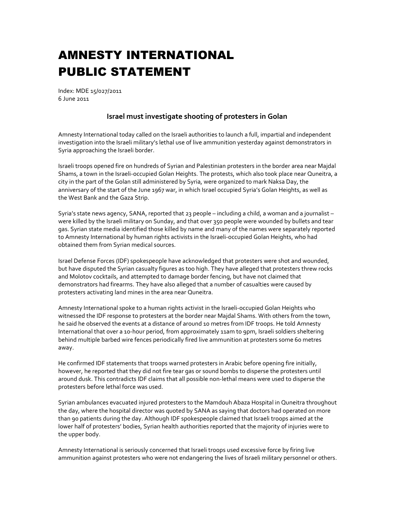Index: MDE 15/027/2011 6 June 2011

## **Israel must investigate shooting of protesters in Golan**

Amnesty International today called on the Israeli authorities to launch a full, impartial and independent investigation into the Israeli military's lethal use of live ammunition yesterday against demonstrators in Syria approaching the Israeli border.

Israeli troops opened fire on hundreds of Syrian and Palestinian protesters in the border area near Majdal Shams, a town in the Israeli-occupied Golan Heights. The protests, which also took place near Quneitra, a city in the part of the Golan still administered by Syria, were organized to mark Naksa Day, the anniversary of the start of the June 1967 war, in which Israel occupied Syria's Golan Heights, as well as the West Bank and the Gaza Strip.

Syria's state news agency, SANA, reported that 23 people – including a child, a woman and a journalist – were killed by the Israeli military on Sunday, and that over 350 people were wounded by bullets and tear gas. Syrian state media identified those killed by name and many of the names were separately reported to Amnesty International by human rights activists in the Israeli-occupied Golan Heights, who had obtained them from Syrian medical sources.

Israel Defense Forces (IDF) spokespeople have acknowledged that protesters were shot and wounded, but have disputed the Syrian casualty figures as too high. They have alleged that protesters threw rocks and Molotov cocktails, and attempted to damage border fencing, but have not claimed that demonstrators had firearms. They have also alleged that a number of casualties were caused by protesters activating land mines in the area near Quneitra.

Amnesty International spoke to a human rights activist in the Israeli-occupied Golan Heights who witnessed the IDF response to protesters at the border near Majdal Shams. With others from the town, he said he observed the events at a distance of around 10 metres from IDF troops. He told Amnesty International that over a 10-hour period, from approximately 11am to 9pm, Israeli soldiers sheltering behind multiple barbed wire fences periodically fired live ammunition at protesters some 60 metres away.

He confirmed IDF statements that troops warned protesters in Arabic before opening fire initially, however, he reported that they did not fire tear gas or sound bombs to disperse the protesters until around dusk. This contradicts IDF claims that all possible non-lethal means were used to disperse the protesters before lethal force was used.

Syrian ambulances evacuated injured protesters to the Mamdouh Abaza Hospital in Quneitra throughout the day, where the hospital director was quoted by SANA as saying that doctors had operated on more than 90 patients during the day. Although IDF spokespeople claimed that Israeli troops aimed at the lower half of protesters' bodies, Syrian health authorities reported that the majority of injuries were to the upper body.

Amnesty International is seriously concerned that Israeli troops used excessive force by firing live ammunition against protesters who were not endangering the lives of Israeli military personnel or others.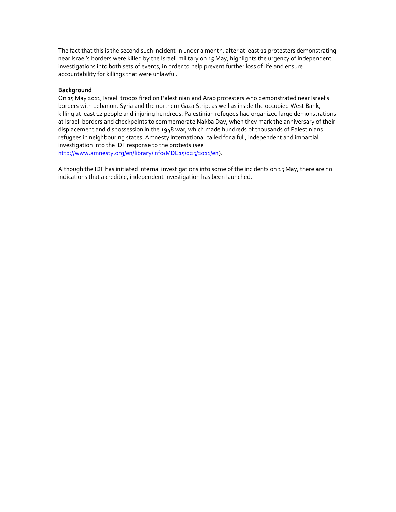The fact that this is the second such incident in under a month, after at least 12 protesters demonstrating near Israel's borders were killed by the Israeli military on 15 May, highlights the urgency of independent investigations into both sets of events, in order to help prevent further loss of life and ensure accountability for killings that were unlawful.

## **Background**

On 15 May 2011, Israeli troops fired on Palestinian and Arab protesters who demonstrated near Israel's borders with Lebanon, Syria and the northern Gaza Strip, as well as inside the occupied West Bank, killing at least 12 people and injuring hundreds. Palestinian refugees had organized large demonstrations at Israeli borders and checkpoints to commemorate Nakba Day, when they mark the anniversary of their displacement and dispossession in the 1948 war, which made hundreds of thousands of Palestinians refugees in neighbouring states. Amnesty International called for a full, independent and impartial investigation into the IDF response to the protests (see http://www.amnesty.org/en/library/info/MDE15/025/2011/en).

Although the IDF has initiated internal investigations into some of the incidents on 15 May, there are no indications that a credible, independent investigation has been launched.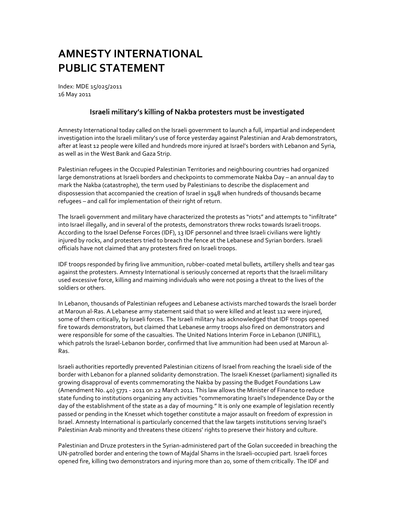Index: MDE 15/025/2011 16 May 2011

## **Israeli military's killing of Nakba protesters must be investigated**

Amnesty International today called on the Israeli government to launch a full, impartial and independent investigation into the Israeli military's use of force yesterday against Palestinian and Arab demonstrators, after at least 12 people were killed and hundreds more injured at Israel's borders with Lebanon and Syria, as well as in the West Bank and Gaza Strip.

Palestinian refugees in the Occupied Palestinian Territories and neighbouring countries had organized large demonstrations at Israeli borders and checkpoints to commemorate Nakba Day – an annual day to mark the Nakba (catastrophe), the term used by Palestinians to describe the displacement and dispossession that accompanied the creation of Israel in 1948 when hundreds of thousands became refugees – and call for implementation of their right of return.

The Israeli government and military have characterized the protests as "riots" and attempts to "infiltrate" into Israel illegally, and in several of the protests, demonstrators threw rocks towards Israeli troops. According to the Israel Defense Forces (IDF), 13 IDF personnel and three Israeli civilians were lightly injured by rocks, and protesters tried to breach the fence at the Lebanese and Syrian borders. Israeli officials have not claimed that any protesters fired on Israeli troops.

IDF troops responded by firing live ammunition, rubber-coated metal bullets, artillery shells and tear gas against the protesters. Amnesty International is seriously concerned at reports that the Israeli military used excessive force, killing and maiming individuals who were not posing a threat to the lives of the soldiers or others.

In Lebanon, thousands of Palestinian refugees and Lebanese activists marched towards the Israeli border at Maroun al-Ras. A Lebanese army statement said that 10 were killed and at least 112 were injured, some of them critically, by Israeli forces. The Israeli military has acknowledged that IDF troops opened fire towards demonstrators, but claimed that Lebanese army troops also fired on demonstrators and were responsible for some of the casualties. The United Nations Interim Force in Lebanon (UNIFIL), which patrols the Israel-Lebanon border, confirmed that live ammunition had been used at Maroun al-Ras.

Israeli authorities reportedly prevented Palestinian citizens of Israel from reaching the Israeli side of the border with Lebanon for a planned solidarity demonstration. The Israeli Knesset (parliament) signalled its growing disapproval of events commemorating the Nakba by passing the Budget Foundations Law (Amendment No. 40) 5771 - 2011 on 22 March 2011. This law allows the Minister of Finance to reduce state funding to institutions organizing any activities "commemorating Israel's Independence Day or the day of the establishment of the state as a day of mourning." It is only one example of legislation recently passed or pending in the Knesset which together constitute a major assault on freedom of expression in Israel. Amnesty International is particularly concerned that the law targets institutions serving Israel's Palestinian Arab minority and threatens these citizens' rights to preserve their history and culture.

Palestinian and Druze protesters in the Syrian-administered part of the Golan succeeded in breaching the UN-patrolled border and entering the town of Majdal Shams in the Israeli-occupied part. Israeli forces opened fire, killing two demonstrators and injuring more than 20, some of them critically. The IDF and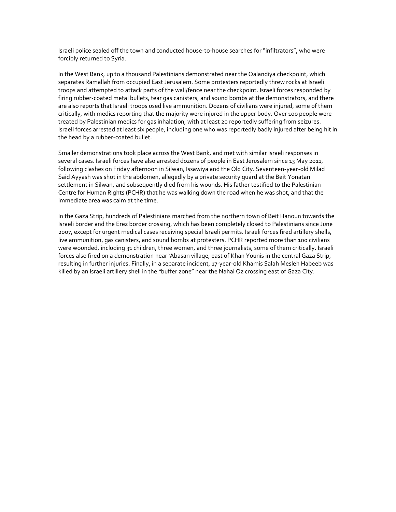Israeli police sealed off the town and conducted house-to-house searches for "infiltrators", who were forcibly returned to Syria.

In the West Bank, up to a thousand Palestinians demonstrated near the Qalandiya checkpoint, which separates Ramallah from occupied East Jerusalem. Some protesters reportedly threw rocks at Israeli troops and attempted to attack parts of the wall/fence near the checkpoint. Israeli forces responded by firing rubber-coated metal bullets, tear gas canisters, and sound bombs at the demonstrators, and there are also reports that Israeli troops used live ammunition. Dozens of civilians were injured, some of them critically, with medics reporting that the majority were injured in the upper body. Over 100 people were treated by Palestinian medics for gas inhalation, with at least 20 reportedly suffering from seizures. Israeli forces arrested at least six people, including one who was reportedly badly injured after being hit in the head by a rubber-coated bullet.

Smaller demonstrations took place across the West Bank, and met with similar Israeli responses in several cases. Israeli forces have also arrested dozens of people in East Jerusalem since 13 May 2011, following clashes on Friday afternoon in Silwan, Issawiya and the Old City. Seventeen-year-old Milad Said Ayyash was shot in the abdomen, allegedly by a private security guard at the Beit Yonatan settlement in Silwan, and subsequently died from his wounds. His father testified to the Palestinian Centre for Human Rights (PCHR) that he was walking down the road when he was shot, and that the immediate area was calm at the time.

In the Gaza Strip, hundreds of Palestinians marched from the northern town of Beit Hanoun towards the Israeli border and the Erez border crossing, which has been completely closed to Palestinians since June 2007, except for urgent medical cases receiving special Israeli permits. Israeli forces fired artillery shells, live ammunition, gas canisters, and sound bombs at protesters. PCHR reported more than 100 civilians were wounded, including 31 children, three women, and three journalists, some of them critically. Israeli forces also fired on a demonstration near 'Abasan village, east of Khan Younis in the central Gaza Strip, resulting in further injuries. Finally, in a separate incident, 17-year-old Khamis Salah Mesleh Habeeb was killed by an Israeli artillery shell in the "buffer zone" near the Nahal Oz crossing east of Gaza City.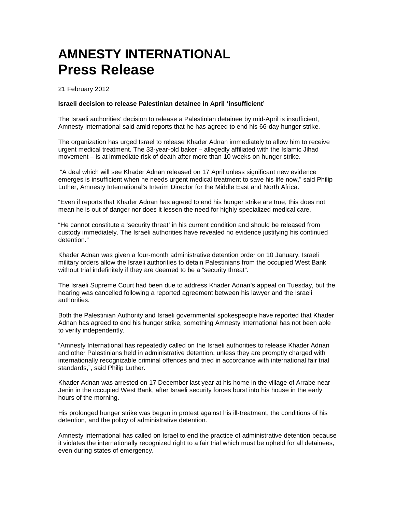# **AMNESTY INTERNATIONAL Press Release**

21 February 2012

#### **Israeli decision to release Palestinian detainee in April 'insufficient'**

The Israeli authorities' decision to release a Palestinian detainee by mid-April is insufficient, Amnesty International said amid reports that he has agreed to end his 66-day hunger strike.

The organization has urged Israel to release Khader Adnan immediately to allow him to receive urgent medical treatment. The 33-year-old baker – allegedly affiliated with the Islamic Jihad movement – is at immediate risk of death after more than 10 weeks on hunger strike.

 "A deal which will see Khader Adnan released on 17 April unless significant new evidence emerges is insufficient when he needs urgent medical treatment to save his life now," said Philip Luther, Amnesty International's Interim Director for the Middle East and North Africa.

"Even if reports that Khader Adnan has agreed to end his hunger strike are true, this does not mean he is out of danger nor does it lessen the need for highly specialized medical care.

"He cannot constitute a 'security threat' in his current condition and should be released from custody immediately. The Israeli authorities have revealed no evidence justifying his continued detention."

Khader Adnan was given a four-month administrative detention order on 10 January. Israeli military orders allow the Israeli authorities to detain Palestinians from the occupied West Bank without trial indefinitely if they are deemed to be a "security threat".

The Israeli Supreme Court had been due to address Khader Adnan's appeal on Tuesday, but the hearing was cancelled following a reported agreement between his lawyer and the Israeli authorities.

Both the Palestinian Authority and Israeli governmental spokespeople have reported that Khader Adnan has agreed to end his hunger strike, something Amnesty International has not been able to verify independently.

"Amnesty International has repeatedly called on the Israeli authorities to release Khader Adnan and other Palestinians held in administrative detention, unless they are promptly charged with internationally recognizable criminal offences and tried in accordance with international fair trial standards,", said Philip Luther.

Khader Adnan was arrested on 17 December last year at his home in the village of Arrabe near Jenin in the occupied West Bank, after Israeli security forces burst into his house in the early hours of the morning.

His prolonged hunger strike was begun in protest against his ill-treatment, the conditions of his detention, and the policy of administrative detention.

Amnesty International has called on Israel to end the practice of administrative detention because it violates the internationally recognized right to a fair trial which must be upheld for all detainees, even during states of emergency.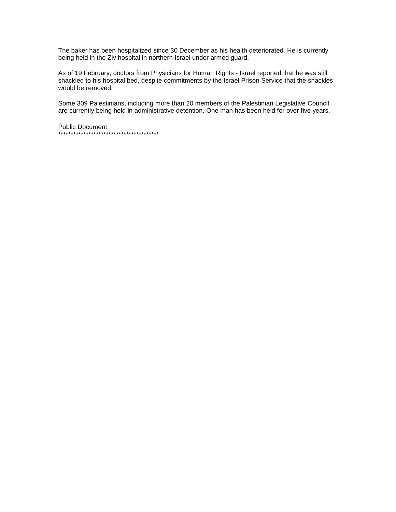The baker has been hospitalized since 30 December as his health deteriorated. He is currently being held in the Ziv hospital in northern Israel under armed guard.

As of 19 February, doctors from Physicians for Human Rights - Israel reported that he was still shackled to his hospital bed, despite commitments by the Israel Prison Service that the shackles would be removed.

Some 309 Palestinians, including more than 20 members of the Palestinian Legislative Council are currently being held in administrative detention. One man has been held for over five years.

Public Document \*\*\*\*\*\*\*\*\*\*\*\*\*\*\*\*\*\*\*\*\*\*\*\*\*\*\*\*\*\*\*\*\*\*\*\*\*\*\*\*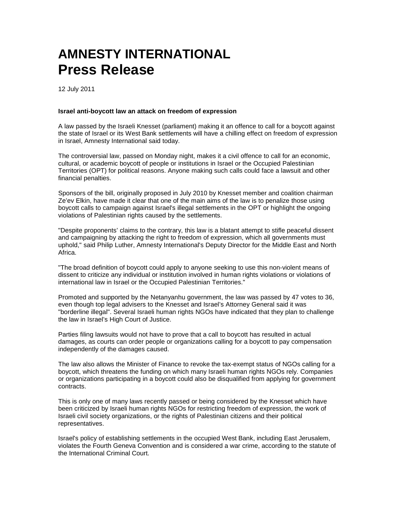# **AMNESTY INTERNATIONAL Press Release**

12 July 2011

#### **Israel anti-boycott law an attack on freedom of expression**

A law passed by the Israeli Knesset (parliament) making it an offence to call for a boycott against the state of Israel or its West Bank settlements will have a chilling effect on freedom of expression in Israel, Amnesty International said today.

The controversial law, passed on Monday night, makes it a civil offence to call for an economic, cultural, or academic boycott of people or institutions in Israel or the Occupied Palestinian Territories (OPT) for political reasons. Anyone making such calls could face a lawsuit and other financial penalties.

Sponsors of the bill, originally proposed in July 2010 by Knesset member and coalition chairman Ze'ev Elkin, have made it clear that one of the main aims of the law is to penalize those using boycott calls to campaign against Israel's illegal settlements in the OPT or highlight the ongoing violations of Palestinian rights caused by the settlements.

"Despite proponents' claims to the contrary, this law is a blatant attempt to stifle peaceful dissent and campaigning by attacking the right to freedom of expression, which all governments must uphold," said Philip Luther, Amnesty International's Deputy Director for the Middle East and North Africa.

"The broad definition of boycott could apply to anyone seeking to use this non-violent means of dissent to criticize any individual or institution involved in human rights violations or violations of international law in Israel or the Occupied Palestinian Territories."

Promoted and supported by the Netanyanhu government, the law was passed by 47 votes to 36, even though top legal advisers to the Knesset and Israel's Attorney General said it was "borderline illegal". Several Israeli human rights NGOs have indicated that they plan to challenge the law in Israel's High Court of Justice.

Parties filing lawsuits would not have to prove that a call to boycott has resulted in actual damages, as courts can order people or organizations calling for a boycott to pay compensation independently of the damages caused.

The law also allows the Minister of Finance to revoke the tax-exempt status of NGOs calling for a boycott, which threatens the funding on which many Israeli human rights NGOs rely. Companies or organizations participating in a boycott could also be disqualified from applying for government contracts.

This is only one of many laws recently passed or being considered by the Knesset which have been criticized by Israeli human rights NGOs for restricting freedom of expression, the work of Israeli civil society organizations, or the rights of Palestinian citizens and their political representatives.

Israel's policy of establishing settlements in the occupied West Bank, including East Jerusalem, violates the Fourth Geneva Convention and is considered a war crime, according to the statute of the International Criminal Court.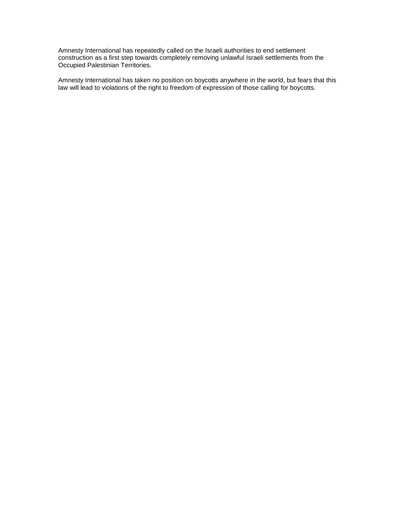Amnesty International has repeatedly called on the Israeli authorities to end settlement construction as a first step towards completely removing unlawful Israeli settlements from the Occupied Palestinian Territories.

Amnesty International has taken no position on boycotts anywhere in the world, but fears that this law will lead to violations of the right to freedom of expression of those calling for boycotts.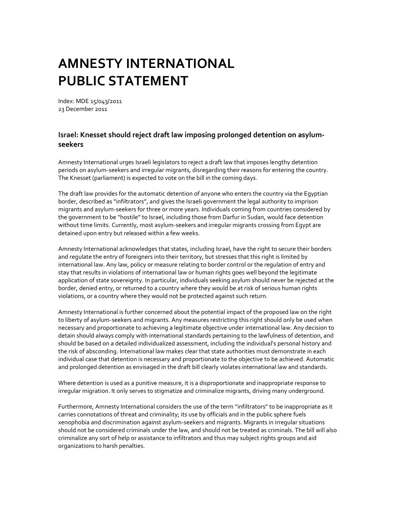Index: MDE 15/043/2011 23 December 2011

## **Israel: Knesset should reject draft law imposing prolonged detention on asylumseekers**

Amnesty International urges Israeli legislators to reject a draft law that imposes lengthy detention periods on asylum-seekers and irregular migrants, disregarding their reasons for entering the country. The Knesset (parliament) is expected to vote on the bill in the coming days.

The draft law provides for the automatic detention of anyone who enters the country via the Egyptian border, described as "infiltrators", and gives the Israeli government the legal authority to imprison migrants and asylum-seekers for three or more years. Individuals coming from countries considered by the government to be "hostile" to Israel, including those from Darfur in Sudan, would face detention without time limits. Currently, most asylum-seekers and irregular migrants crossing from Egypt are detained upon entry but released within a few weeks.

Amnesty International acknowledges that states, including Israel, have the right to secure their borders and regulate the entry of foreigners into their territory, but stresses that this right is limited by international law. Any law, policy or measure relating to border control or the regulation of entry and stay that results in violations of international law or human rights goes well beyond the legitimate application of state sovereignty. In particular, individuals seeking asylum should never be rejected at the border, denied entry, or returned to a country where they would be at risk of serious human rights violations, or a country where they would not be protected against such return.

Amnesty International is further concerned about the potential impact of the proposed law on the right to liberty of asylum-seekers and migrants. Any measures restricting this right should only be used when necessary and proportionate to achieving a legitimate objective under international law. Any decision to detain should always comply with international standards pertaining to the lawfulness of detention, and should be based on a detailed individualized assessment, including the individual's personal history and the risk of absconding. International law makes clear that state authorities must demonstrate in each individual case that detention is necessary and proportionate to the objective to be achieved. Automatic and prolonged detention as envisaged in the draft bill clearly violates international law and standards.

Where detention is used as a punitive measure, it is a disproportionate and inappropriate response to irregular migration. It only serves to stigmatize and criminalize migrants, driving many underground.

Furthermore, Amnesty International considers the use of the term "infiltrators" to be inappropriate as it carries connotations of threat and criminality; its use by officials and in the public sphere fuels xenophobia and discrimination against asylum-seekers and migrants. Migrants in irregular situations should not be considered criminals under the law, and should not be treated as criminals. The bill will also criminalize any sort of help or assistance to infiltrators and thus may subject rights groups and aid organizations to harsh penalties.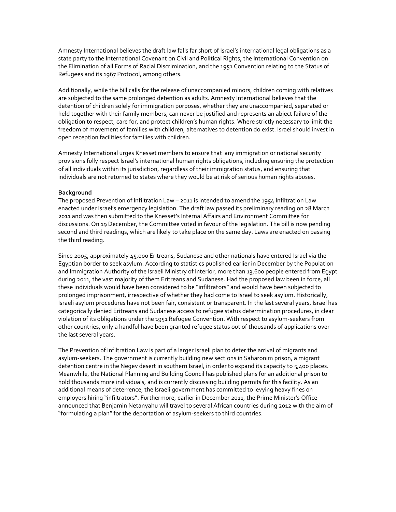Amnesty International believes the draft law falls far short of Israel's international legal obligations as a state party to the International Covenant on Civil and Political Rights, the International Convention on the Elimination of all Forms of Racial Discrimination, and the 1951 Convention relating to the Status of Refugees and its 1967 Protocol, among others.

Additionally, while the bill calls for the release of unaccompanied minors, children coming with relatives are subjected to the same prolonged detention as adults. Amnesty International believes that the detention of children solely for immigration purposes, whether they are unaccompanied, separated or held together with their family members, can never be justified and represents an abject failure of the obligation to respect, care for, and protect children's human rights. Where strictly necessary to limit the freedom of movement of families with children, alternatives to detention do exist. Israel should invest in open reception facilities for families with children.

Amnesty International urges Knesset members to ensure that any immigration or national security provisions fully respect Israel's international human rights obligations, including ensuring the protection of all individuals within its jurisdiction, regardless of their immigration status, and ensuring that individuals are not returned to states where they would be at risk of serious human rights abuses.

### **Background**

The proposed Prevention of Infiltration Law – 2011 is intended to amend the 1954 Infiltration Law enacted under Israel's emergency legislation. The draft law passed its preliminary reading on 28 March 2011 and was then submitted to the Knesset's Internal Affairs and Environment Committee for discussions. On 19 December, the Committee voted in favour of the legislation. The bill is now pending second and third readings, which are likely to take place on the same day. Laws are enacted on passing the third reading.

Since 2005, approximately 45,000 Eritreans, Sudanese and other nationals have entered Israel via the Egyptian border to seek asylum. According to statistics published earlier in December by the Population and Immigration Authority of the Israeli Ministry of Interior, more than 13,600 people entered from Egypt during 2011, the vast majority of them Eritreans and Sudanese. Had the proposed law been in force, all these individuals would have been considered to be "infiltrators" and would have been subjected to prolonged imprisonment, irrespective of whether they had come to Israel to seek asylum. Historically, Israeli asylum procedures have not been fair, consistent or transparent. In the last several years, Israel has categorically denied Eritreans and Sudanese access to refugee status determination procedures, in clear violation of its obligations under the 1951 Refugee Convention. With respect to asylum-seekers from other countries, only a handful have been granted refugee status out of thousands of applications over the last several years.

The Prevention of Infiltration Law is part of a larger Israeli plan to deter the arrival of migrants and asylum-seekers. The government is currently building new sections in Saharonim prison, a migrant detention centre in the Negev desert in southern Israel, in order to expand its capacity to 5,400 places. Meanwhile, the National Planning and Building Council has published plans for an additional prison to hold thousands more individuals, and is currently discussing building permits for this facility. As an additional means of deterrence, the Israeli government has committed to levying heavy fines on employers hiring "infiltrators". Furthermore, earlier in December 2011, the Prime Minister's Office announced that Benjamin Netanyahu will travel to several African countries during 2012 with the aim of "formulating a plan" for the deportation of asylum-seekers to third countries.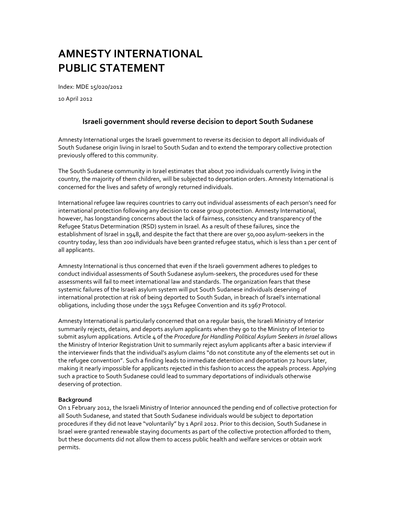Index: MDE 15/020/2012

10 April 2012

## **Israeli government should reverse decision to deport South Sudanese**

Amnesty International urges the Israeli government to reverse its decision to deport all individuals of South Sudanese origin living in Israel to South Sudan and to extend the temporary collective protection previously offered to this community.

The South Sudanese community in Israel estimates that about 700 individuals currently living in the country, the majority of them children, will be subjected to deportation orders. Amnesty International is concerned for the lives and safety of wrongly returned individuals.

International refugee law requires countries to carry out individual assessments of each person's need for international protection following any decision to cease group protection. Amnesty International, however, has longstanding concerns about the lack of fairness, consistency and transparency of the Refugee Status Determination (RSD) system in Israel. As a result of these failures, since the establishment of Israel in 1948, and despite the fact that there are over 50,000 asylum-seekers in the country today, less than 200 individuals have been granted refugee status, which is less than 1 per cent of all applicants.

Amnesty International is thus concerned that even if the Israeli government adheres to pledges to conduct individual assessments of South Sudanese asylum-seekers, the procedures used for these assessments will fail to meet international law and standards. The organization fears that these systemic failures of the Israeli asylum system will put South Sudanese individuals deserving of international protection at risk of being deported to South Sudan, in breach of Israel's international obligations, including those under the 1951 Refugee Convention and its 1967 Protocol.

Amnesty International is particularly concerned that on a regular basis, the Israeli Ministry of Interior summarily rejects, detains, and deports asylum applicants when they go to the Ministry of Interior to submit asylum applications. Article 4 of the *Procedure for Handling Political Asylum Seekers in Israel* allows the Ministry of Interior Registration Unit to summarily reject asylum applicants after a basic interview if the interviewer finds that the individual's asylum claims "do not constitute any of the elements set out in the refugee convention". Such a finding leads to immediate detention and deportation 72 hours later, making it nearly impossible for applicants rejected in this fashion to access the appeals process. Applying such a practice to South Sudanese could lead to summary deportations of individuals otherwise deserving of protection.

### **Background**

On 1 February 2012, the Israeli Ministry of Interior announced the pending end of collective protection for all South Sudanese, and stated that South Sudanese individuals would be subject to deportation procedures if they did not leave "voluntarily" by 1 April 2012. Prior to this decision, South Sudanese in Israel were granted renewable staying documents as part of the collective protection afforded to them, but these documents did not allow them to access public health and welfare services or obtain work permits.